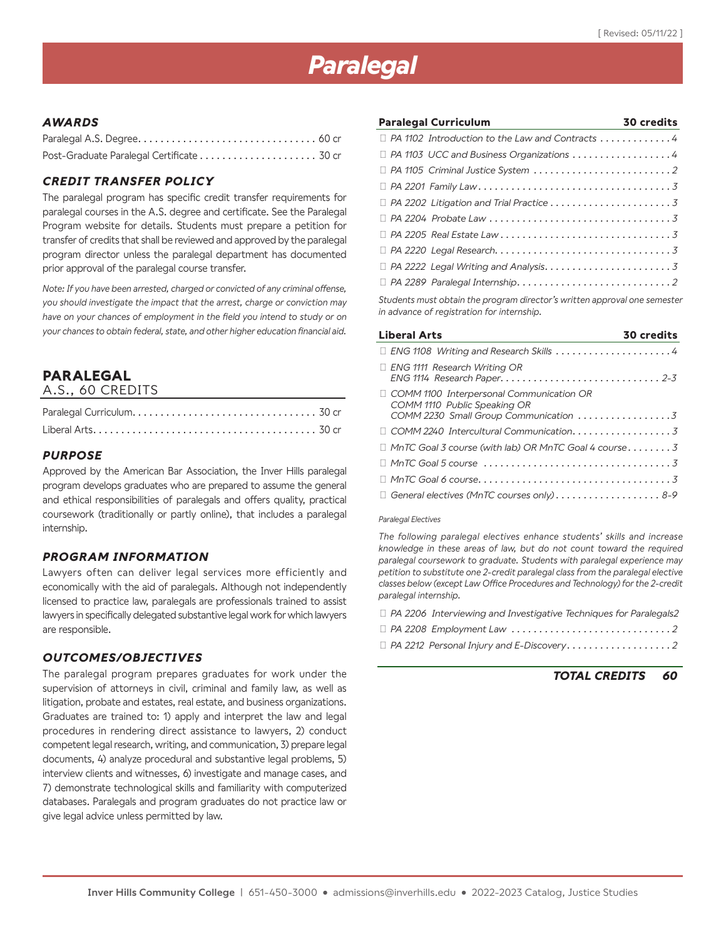# *Paralegal*

## *AWARDS*

## *CREDIT TRANSFER POLICY*

The paralegal program has specific credit transfer requirements for paralegal courses in the A.S. degree and certificate. See the Paralegal Program website for details. Students must prepare a petition for transfer of credits that shall be reviewed and approved by the paralegal program director unless the paralegal department has documented prior approval of the paralegal course transfer.

*Note: If you have been arrested, charged or convicted of any criminal offense, you should investigate the impact that the arrest, charge or conviction may have on your chances of employment in the field you intend to study or on your chances to obtain federal, state, and other higher education financial aid.*

## **PARALEGAL**

| A.S., 60 CREDITS |  |
|------------------|--|
|------------------|--|

### *PURPOSE*

Approved by the American Bar Association, the Inver Hills paralegal program develops graduates who are prepared to assume the general and ethical responsibilities of paralegals and offers quality, practical coursework (traditionally or partly online), that includes a paralegal internship.

#### *PROGRAM INFORMATION*

Lawyers often can deliver legal services more efficiently and economically with the aid of paralegals. Although not independently licensed to practice law, paralegals are professionals trained to assist lawyers in specifically delegated substantive legal work for which lawyers are responsible.

## *OUTCOMES/OBJECTIVES*

The paralegal program prepares graduates for work under the supervision of attorneys in civil, criminal and family law, as well as litigation, probate and estates, real estate, and business organizations. Graduates are trained to: 1) apply and interpret the law and legal procedures in rendering direct assistance to lawyers, 2) conduct competent legal research, writing, and communication, 3) prepare legal documents, 4) analyze procedural and substantive legal problems, 5) interview clients and witnesses, 6) investigate and manage cases, and 7) demonstrate technological skills and familiarity with computerized databases. Paralegals and program graduates do not practice law or give legal advice unless permitted by law.

| <b>Paralegal Curriculum</b>                                                     | <b>30 credits</b> |
|---------------------------------------------------------------------------------|-------------------|
| $\Box$ PA 1102 Introduction to the Law and Contracts 4                          |                   |
| $\Box$ PA 1103 UCC and Business Organizations $\dots\dots\dots\dots\dots\dots4$ |                   |
|                                                                                 |                   |
|                                                                                 |                   |
|                                                                                 |                   |
|                                                                                 |                   |
|                                                                                 |                   |
|                                                                                 |                   |
|                                                                                 |                   |
|                                                                                 |                   |
|                                                                                 |                   |

*Students must obtain the program director's written approval one semester in advance of registration for internship.*

| <b>Liberal Arts</b>                                                                                                      | <b>30 credits</b> |
|--------------------------------------------------------------------------------------------------------------------------|-------------------|
| $\Box$ ENG 1108 Writing and Research Skills 4                                                                            |                   |
| $\Box$ ENG 1111 Research Writing OR                                                                                      |                   |
| $\Box$ COMM 1100 Interpersonal Communication OR<br>COMM 1110 Public Speaking OR<br>COMM 2230 Small Group Communication 3 |                   |
|                                                                                                                          |                   |
| $\Box$ MnTC Goal 3 course (with lab) OR MnTC Goal 4 course3                                                              |                   |
|                                                                                                                          |                   |
|                                                                                                                          |                   |
| $\Box$ General electives (MnTC courses only) 8-9                                                                         |                   |

#### *Paralegal Electives*

*The following paralegal electives enhance students' skills and increase knowledge in these areas of law, but do not count toward the required paralegal coursework to graduate. Students with paralegal experience may petition to substitute one 2-credit paralegal class from the paralegal elective classes below (except Law Office Procedures and Technology) for the 2-credit paralegal internship.* 

|  | $\Box$ PA 2206 Interviewing and Investigative Techniques for Paralegals2                              |
|--|-------------------------------------------------------------------------------------------------------|
|  | $\Box$ PA 2208 Employment Law $\ldots \ldots \ldots \ldots \ldots \ldots \ldots \ldots \ldots \ldots$ |
|  |                                                                                                       |

|  | <b>TOTAL CREDITS</b> | 60 |
|--|----------------------|----|
|--|----------------------|----|